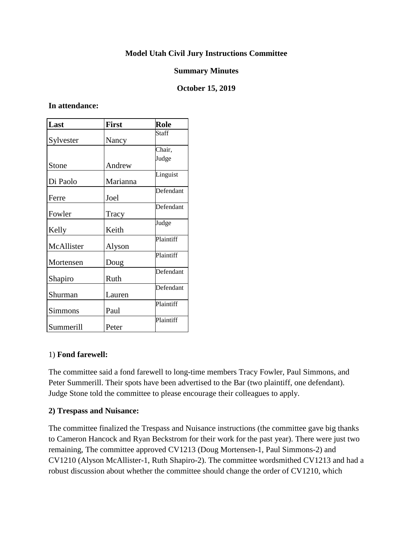## **Model Utah Civil Jury Instructions Committee**

### **Summary Minutes**

### **October 15, 2019**

#### **In attendance:**

| Last       | <b>First</b> | Role      |
|------------|--------------|-----------|
| Sylvester  | Nancy        | Staff     |
|            |              | Chair,    |
| Stone      | Andrew       | Judge     |
| Di Paolo   | Marianna     | Linguist  |
| Ferre      | Joel         | Defendant |
| Fowler     | Tracy        | Defendant |
| Kelly      | Keith        | Judge     |
| McAllister | Alyson       | Plaintiff |
| Mortensen  | Doug         | Plaintiff |
| Shapiro    | Ruth         | Defendant |
| Shurman    | Lauren       | Defendant |
| Simmons    | Paul         | Plaintiff |
| Summerill  | Peter        | Plaintiff |

#### 1) **Fond farewell:**

The committee said a fond farewell to long-time members Tracy Fowler, Paul Simmons, and Peter Summerill. Their spots have been advertised to the Bar (two plaintiff, one defendant). Judge Stone told the committee to please encourage their colleagues to apply.

#### **2) Trespass and Nuisance:**

The committee finalized the Trespass and Nuisance instructions (the committee gave big thanks to Cameron Hancock and Ryan Beckstrom for their work for the past year). There were just two remaining, The committee approved CV1213 (Doug Mortensen-1, Paul Simmons-2) and CV1210 (Alyson McAllister-1, Ruth Shapiro-2). The committee wordsmithed CV1213 and had a robust discussion about whether the committee should change the order of CV1210, which